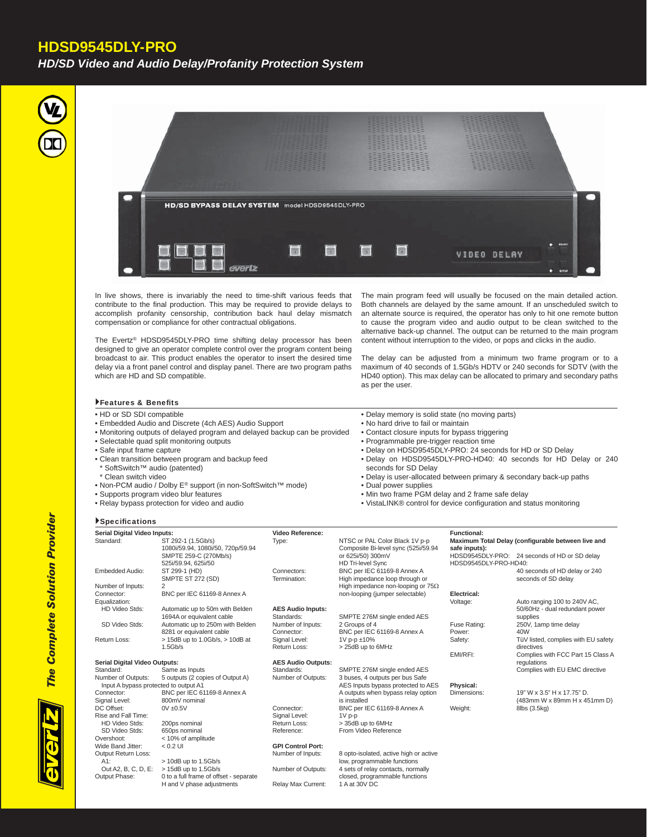## **HDSD9545DLY-PRO**

*HD/SD Video and Audio Delay/Profanity Protection System*





In live shows, there is invariably the need to time-shift various feeds that contribute to the final production. This may be required to provide delays to accomplish profanity censorship, contribution back haul delay mismatch compensation or compliance for other contractual obligations.

The Evertz® HDSD9545DLY-PRO time shifting delay processor has been designed to give an operator complete control over the program content being broadcast to air. This product enables the operator to insert the desired time delay via a front panel control and display panel. There are two program paths which are HD and SD compatible.

The main program feed will usually be focused on the main detailed action. Both channels are delayed by the same amount. If an unscheduled switch to an alternate source is required, the operator has only to hit one remote button to cause the program video and audio output to be clean switched to the alternative back-up channel. The output can be returned to the main program content without interruption to the video, or pops and clicks in the audio.

The delay can be adjusted from a minimum two frame program or to a maximum of 40 seconds of 1.5Gb/s HDTV or 240 seconds for SDTV (with the HD40 option). This max delay can be allocated to primary and secondary paths as per the user.

### Features & Benefits

- HD or SD SDI compatible
- Embedded Audio and Discrete (4ch AES) Audio Support
- Monitoring outputs of delayed program and delayed backup can be provided
- Selectable quad split monitoring outputs
- Safe input frame capture
- Clean transition between program and backup feed
- \* SoftSwitch™ audio (patented)
- \* Clean switch video

**Specifications** 

- Non-PCM audio / Dolby E® support (in non-SoftSwitch™ mode)
- Supports program video blur features
- Relay bypass protection for video and audio
- Delay memory is solid state (no moving parts)
- No hard drive to fail or maintain
- Contact closure inputs for bypass triggering
- Programmable pre-trigger reaction time
- Delay on HDSD9545DLY-PRO: 24 seconds for HD or SD Delay
- Delay on HDSD9545DLY-PRO-HD40: 40 seconds for HD Delay or 240 seconds for SD Delay
- Delay is user-allocated between primary & secondary back-up paths
- Dual power supplies
- Min two frame PGM delay and 2 frame safe delay
- VistaLINK® control for device configuration and status monitoring

| Serial Digital Video Inputs:          |                                                         | <b>Video Reference:</b>     |                                                                       | <b>Functional:</b>    |                                                      |
|---------------------------------------|---------------------------------------------------------|-----------------------------|-----------------------------------------------------------------------|-----------------------|------------------------------------------------------|
| Standard:                             | ST 292-1 (1.5Gb/s)<br>1080i/59.94, 1080i/50, 720p/59.94 | Type:                       | NTSC or PAL Color Black 1V p-p<br>Composite Bi-level sync (525i/59.94 | safe inputs):         | Maximum Total Delay (configurable between live and   |
|                                       | SMPTE 259-C (270Mb/s)<br>525i/59.94, 625i/50            |                             | or 625i/50) 300mV<br><b>HD Tri-level Sync</b>                         | HDSD9545DLY-PRO-HD40: | HDSD9545DLY-PRO: 24 seconds of HD or SD delay        |
| Embedded Audio:                       | ST 299-1 (HD)<br>SMPTE ST 272 (SD)                      | Connectors:<br>Termination: | BNC per IEC 61169-8 Annex A<br>High impedance loop through or         |                       | 40 seconds of HD delay or 240<br>seconds of SD delay |
| Number of Inputs:                     | 2                                                       |                             | High impedance non-looping or $75\Omega$                              |                       |                                                      |
| Connector:                            | BNC per IEC 61169-8 Annex A                             |                             | non-looping (jumper selectable)                                       | Electrical:           |                                                      |
| Equalization:                         |                                                         |                             |                                                                       | Voltage:              | Auto ranging 100 to 240V AC,                         |
| <b>HD Video Stds:</b>                 | Automatic up to 50m with Belden                         | <b>AES Audio Inputs:</b>    |                                                                       |                       | 50/60Hz - dual redundant power                       |
|                                       | 1694A or equivalent cable                               | Standards:                  | SMPTE 276M single ended AES                                           |                       | supplies                                             |
| SD Video Stds:                        | Automatic up to 250m with Belden                        | Number of Inputs:           | 2 Groups of 4                                                         | Fuse Rating:          | 250V, 1amp time delay                                |
|                                       | 8281 or equivalent cable                                | Connector:                  | BNC per IEC 61169-8 Annex A                                           | Power:                | 40W                                                  |
| Return Loss:                          | > 15dB up to 1.0Gb/s, > 10dB at                         | Signal Level:               | 1V p-p ±10%                                                           | Safety:               | TüV listed, complies with EU safety                  |
|                                       | 1.5Gb/s                                                 | Return Loss:                | > 25dB up to 6MHz                                                     |                       | directives                                           |
|                                       |                                                         |                             |                                                                       | EMI/RFI:              | Complies with FCC Part 15 Class A                    |
| Serial Digital Video Outputs:         |                                                         | <b>AES Audio Outputs:</b>   |                                                                       |                       | regulations                                          |
| Standard:                             | Same as Inputs                                          | Standards:                  | SMPTE 276M single ended AES                                           |                       | Complies with EU EMC directive                       |
| Number of Outputs:                    | 5 outputs (2 copies of Output A)                        | Number of Outputs:          | 3 buses, 4 outputs per bus Safe                                       |                       |                                                      |
| Input A bypass protected to output A1 |                                                         |                             | AES Inputs bypass protected to AES                                    | Physical:             |                                                      |
| Connector:                            | BNC per IEC 61169-8 Annex A                             |                             | A outputs when bypass relay option                                    | Dimensions:           | 19" W x 3.5" H x 17.75" D.                           |
| Signal Level:                         | 800mV nominal                                           |                             | is installed                                                          |                       | (483mm W x 89mm H x 451mm D)                         |
| DC Offset:                            | $0V \pm 0.5V$                                           | Connector:                  | BNC per IEC 61169-8 Annex A                                           | Weight:               | 8lbs (3.5kg)                                         |
| Rise and Fall Time:                   |                                                         | Signal Level:               | $1V$ p-p                                                              |                       |                                                      |
| HD Video Stds:                        | 200ps nominal                                           | Return Loss:                | > 35dB up to 6MHz                                                     |                       |                                                      |
| SD Video Stds:                        | 650ps nominal                                           | Reference:                  | From Video Reference                                                  |                       |                                                      |
| Overshoot:                            | < 10% of amplitude                                      |                             |                                                                       |                       |                                                      |
| Wide Band Jitter:                     | $< 0.2$ UI                                              | <b>GPI Control Port:</b>    |                                                                       |                       |                                                      |
| Output Return Loss:                   |                                                         | Number of Inputs:           | 8 opto-isolated, active high or active                                |                       |                                                      |
| $A1$ :                                | $> 10$ dB up to $1.5$ Gb/s                              |                             | low, programmable functions                                           |                       |                                                      |
| Out A2, B, C, D, E:                   | $>$ 15dB up to 1.5Gb/s                                  | Number of Outputs:          | 4 sets of relay contacts, normally                                    |                       |                                                      |
| Output Phase:                         | 0 to a full frame of offset - separate                  |                             | closed, programmable functions                                        |                       |                                                      |
|                                       | H and V phase adjustments                               | Relav Max Current:          | 1 A at 30V DC                                                         |                       |                                                      |

**The Complete Solution Provider** *The Complete Solution Provider*